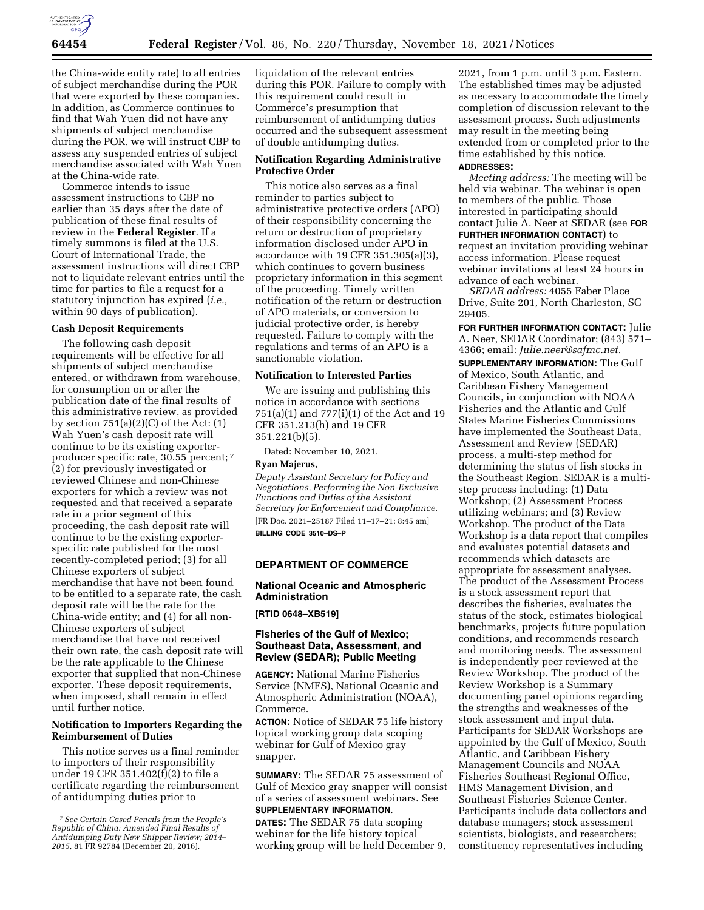

the China-wide entity rate) to all entries of subject merchandise during the POR that were exported by these companies. In addition, as Commerce continues to find that Wah Yuen did not have any shipments of subject merchandise during the POR, we will instruct CBP to assess any suspended entries of subject merchandise associated with Wah Yuen at the China-wide rate.

Commerce intends to issue assessment instructions to CBP no earlier than 35 days after the date of publication of these final results of review in the **Federal Register**. If a timely summons is filed at the U.S. Court of International Trade, the assessment instructions will direct CBP not to liquidate relevant entries until the time for parties to file a request for a statutory injunction has expired (*i.e.,*  within 90 days of publication).

### **Cash Deposit Requirements**

The following cash deposit requirements will be effective for all shipments of subject merchandise entered, or withdrawn from warehouse, for consumption on or after the publication date of the final results of this administrative review, as provided by section 751(a)(2)(C) of the Act: (1) Wah Yuen's cash deposit rate will continue to be its existing exporterproducer specific rate, 30.55 percent; 7 (2) for previously investigated or reviewed Chinese and non-Chinese exporters for which a review was not requested and that received a separate rate in a prior segment of this proceeding, the cash deposit rate will continue to be the existing exporterspecific rate published for the most recently-completed period; (3) for all Chinese exporters of subject merchandise that have not been found to be entitled to a separate rate, the cash deposit rate will be the rate for the China-wide entity; and (4) for all non-Chinese exporters of subject merchandise that have not received their own rate, the cash deposit rate will be the rate applicable to the Chinese exporter that supplied that non-Chinese exporter. These deposit requirements, when imposed, shall remain in effect until further notice.

### **Notification to Importers Regarding the Reimbursement of Duties**

This notice serves as a final reminder to importers of their responsibility under 19 CFR 351.402(f)(2) to file a certificate regarding the reimbursement of antidumping duties prior to

liquidation of the relevant entries during this POR. Failure to comply with this requirement could result in Commerce's presumption that reimbursement of antidumping duties occurred and the subsequent assessment of double antidumping duties.

### **Notification Regarding Administrative Protective Order**

This notice also serves as a final reminder to parties subject to administrative protective orders (APO) of their responsibility concerning the return or destruction of proprietary information disclosed under APO in accordance with 19 CFR 351.305(a)(3), which continues to govern business proprietary information in this segment of the proceeding. Timely written notification of the return or destruction of APO materials, or conversion to judicial protective order, is hereby requested. Failure to comply with the regulations and terms of an APO is a sanctionable violation.

### **Notification to Interested Parties**

We are issuing and publishing this notice in accordance with sections 751(a)(1) and 777(i)(1) of the Act and 19 CFR 351.213(h) and 19 CFR 351.221(b)(5).

Dated: November 10, 2021.

#### **Ryan Majerus,**

*Deputy Assistant Secretary for Policy and Negotiations, Performing the Non-Exclusive Functions and Duties of the Assistant Secretary for Enforcement and Compliance.*  [FR Doc. 2021–25187 Filed 11–17–21; 8:45 am]

**BILLING CODE 3510–DS–P** 

### **DEPARTMENT OF COMMERCE**

# **National Oceanic and Atmospheric Administration**

## **[RTID 0648–XB519]**

### **Fisheries of the Gulf of Mexico; Southeast Data, Assessment, and Review (SEDAR); Public Meeting**

**AGENCY:** National Marine Fisheries Service (NMFS), National Oceanic and Atmospheric Administration (NOAA), Commerce.

**ACTION:** Notice of SEDAR 75 life history topical working group data scoping webinar for Gulf of Mexico gray snapper.

**SUMMARY:** The SEDAR 75 assessment of Gulf of Mexico gray snapper will consist of a series of assessment webinars. See **SUPPLEMENTARY INFORMATION**.

**DATES:** The SEDAR 75 data scoping webinar for the life history topical working group will be held December 9,

2021, from 1 p.m. until 3 p.m. Eastern. The established times may be adjusted as necessary to accommodate the timely completion of discussion relevant to the assessment process. Such adjustments may result in the meeting being extended from or completed prior to the time established by this notice.

#### **ADDRESSES:**

*Meeting address:* The meeting will be held via webinar. The webinar is open to members of the public. Those interested in participating should contact Julie A. Neer at SEDAR (see **FOR FURTHER INFORMATION CONTACT**) to request an invitation providing webinar access information. Please request webinar invitations at least 24 hours in advance of each webinar.

*SEDAR address:* 4055 Faber Place Drive, Suite 201, North Charleston, SC 29405.

**FOR FURTHER INFORMATION CONTACT:** Julie A. Neer, SEDAR Coordinator; (843) 571– 4366; email: *[Julie.neer@safmc.net.](mailto:Julie.neer@safmc.net)* 

**SUPPLEMENTARY INFORMATION:** The Gulf of Mexico, South Atlantic, and Caribbean Fishery Management Councils, in conjunction with NOAA Fisheries and the Atlantic and Gulf States Marine Fisheries Commissions have implemented the Southeast Data, Assessment and Review (SEDAR) process, a multi-step method for determining the status of fish stocks in the Southeast Region. SEDAR is a multistep process including: (1) Data Workshop; (2) Assessment Process utilizing webinars; and (3) Review Workshop. The product of the Data Workshop is a data report that compiles and evaluates potential datasets and recommends which datasets are appropriate for assessment analyses. The product of the Assessment Process is a stock assessment report that describes the fisheries, evaluates the status of the stock, estimates biological benchmarks, projects future population conditions, and recommends research and monitoring needs. The assessment is independently peer reviewed at the Review Workshop. The product of the Review Workshop is a Summary documenting panel opinions regarding the strengths and weaknesses of the stock assessment and input data. Participants for SEDAR Workshops are appointed by the Gulf of Mexico, South Atlantic, and Caribbean Fishery Management Councils and NOAA Fisheries Southeast Regional Office, HMS Management Division, and Southeast Fisheries Science Center. Participants include data collectors and database managers; stock assessment scientists, biologists, and researchers; constituency representatives including

<sup>7</sup>*See Certain Cased Pencils from the People's Republic of China: Amended Final Results of Antidumping Duty New Shipper Review; 2014– 2015,* 81 FR 92784 (December 20, 2016).